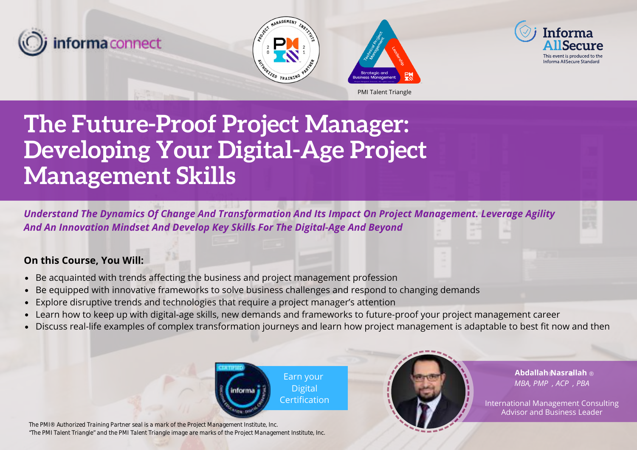







# **The Future-Proof Project Manager: Developing Your Digital-Age Project Management Skills**

*Understand The Dynamics Of Change And Transformation And Its Impact On Project Management. Leverage Agility And An Innovation Mindset And Develop Key Skills For The Digital-Age And Beyond*

# **On this Course, You Will:**

- Be acquainted with trends affecting the business and project management profession
- Be equipped with innovative frameworks to solve business challenges and respond to changing demands
- Explore disruptive trends and technologies that require a project manager's attention
- Learn how to keep up with digital-age skills, new demands and frameworks to future-proof your project management career
- Discuss real-life examples of complex transformation journeys and learn how project management is adaptable to best fit now and then



*The PMI® Authorized Training Partner seal is a mark of the Project Management Institute, Inc. "The PMI Talent Triangle" and the PMI Talent Triangle image are marks of the Project Management Institute, Inc.*



**Abdallah Nasrallah**  ® ® ®*MBA, PMP , ACP , PBA*

International Management Consulting Advisor and Business Leader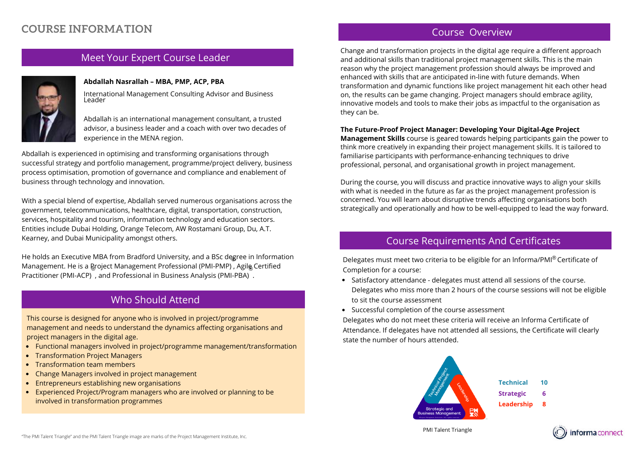# **COURSE INFORMATION**

## Meet Your Expert Course Leader



#### **Abdallah Nasrallah – MBA, PMP, ACP, PBA**

International Management Consulting Advisor and Business Leader

Abdallah is an international management consultant, a trusted advisor, a business leader and a coach with over two decades of experience in the MENA region.

Abdallah is experienced in optimising and transforming organisations through successful strategy and portfolio management, programme/project delivery, business process optimisation, promotion of governance and compliance and enablement of business through technology and innovation.

With a special blend of expertise, Abdallah served numerous organisations across the government, telecommunications, healthcare, digital, transportation, construction, services, hospitality and tourism, information technology and education sectors. Entities include Dubai Holding, Orange Telecom, AW Rostamani Group, Du, A.T. Kearney, and Dubai Municipality amongst others.

He holds an Executive MBA from Bradford University, and a BSc degree in Information ® Management. He is a ዬ̥roject Management Professional (PMI-PMP) , Agilቈ Certified Practitioner (PMI-ACP) , and Professional in Business Analysis (PMI-PBA) .

## Who Should Attend

This course is designed for anyone who is involved in project/programme management and needs to understand the dynamics affecting organisations and project managers in the digital age.

- Functional managers involved in project/programme management/transformation
- Transformation Project Managers
- Transformation team members
- Change Managers involved in project management
- Entrepreneurs establishing new organisations
- Experienced Project/Program managers who are involved or planning to be involved in transformation programmes

## Course Overview

Change and transformation projects in the digital age require a different approach and additional skills than traditional project management skills. This is the main reason why the project management profession should always be improved and enhanced with skills that are anticipated in-line with future demands. When transformation and dynamic functions like project management hit each other head on, the results can be game changing. Project managers should embrace agility, innovative models and tools to make their jobs as impactful to the organisation as they can be.

#### **The Future-Proof Project Manager: Developing Your Digital-Age Project**

**Management Skills** course is geared towards helping participants gain the power to think more creatively in expanding their project management skills. It is tailored to familiarise participants with performance-enhancing techniques to drive professional, personal, and organisational growth in project management.

During the course, you will discuss and practice innovative ways to align your skills with what is needed in the future as far as the project management profession is concerned. You will learn about disruptive trends affecting organisations both strategically and operationally and how to be well-equipped to lead the way forward.

## Course Requirements And Certificates

Delegates must meet two criteria to be eligible for an Informa/PMI® Certificate of Completion for a course:

- Satisfactory attendance delegates must attend all sessions of the course. Delegates who miss more than 2 hours of the course sessions will not be eligible to sit the course assessment
- Successful completion of the course assessment

Day Four

Delegates who do not meet these criteria will receive an lnforma Certificate of Attendance. If delegates have not attended all sessions, the Certificate will clearly state the number of hours attended.



**Technical Strategic Leadership 10 6 8**

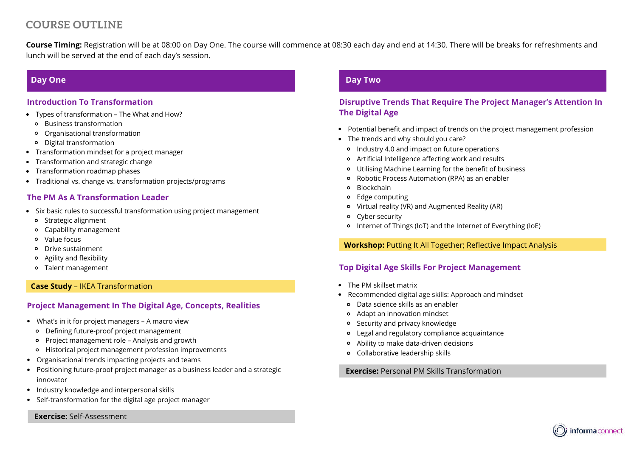# **COURSE OUTLINE**

**Course Timing:** Registration will be at 08:00 on Day One. The course will commence at 08:30 each day and end at 14:30. There will be breaks for refreshments and lunch will be served at the end of each day's session.

## **Day One**

#### **Introduction To Transformation**

- Types of transformation The What and How?
	- Business transformation
	- Organisational transformation
	- Digital transformation
- Transformation mindset for a project manager
- Transformation and strategic change
- Transformation roadmap phases
- Traditional vs. change vs. transformation projects/programs

#### **The PM As A Transformation Leader**

- Six basic rules to successful transformation using project management
	- Strategic alignment
	- Capability management
	- Value focus
	- Drive sustainment
	- Agility and flexibility
	- Talent management

#### **Case Study** – IKEA Transformation

## **Project Management In The Digital Age, Concepts, Realities**

- What's in it for project managers A macro view
	- Defining future-proof project management
	- Project management role Analysis and growth
	- Historical project management profession improvements
- Organisational trends impacting projects and teams
- Positioning future-proof project manager as a business leader and a strategic innovator
- Industry knowledge and interpersonal skills
- Self-transformation for the digital age project manager

**Exercise:** Self-Assessment

## **Day Two**

## **Disruptive Trends That Require The Project Manager's Attention In The Digital Age**

- Potential benefit and impact of trends on the project management profession
- The trends and why should you care?
	- Industry 4.0 and impact on future operations
	- Artificial Intelligence affecting work and results
	- Utilising Machine Learning for the benefit of business
	- Robotic Process Automation (RPA) as an enabler
	- **o** Blockchain
	- Edge computing
	- Virtual reality (VR) and Augmented Reality (AR)
	- Cyber security
	- Internet of Things (IoT) and the Internet of Everything (IoE)

#### **Workshop:** Putting It All Together; Reflective Impact Analysis

#### **Top Digital Age Skills For Project Management**

- The PM skillset matrix
- Recommended digital age skills: Approach and mindset
	- Data science skills as an enabler
	- Adapt an innovation mindset
- Security and privacy knowledge
- Legal and regulatory compliance acquaintance  $\circ$
- Ability to make data-driven decisions
- Collaborative leadership skills

**Exercise:** Personal PM Skills Transformation